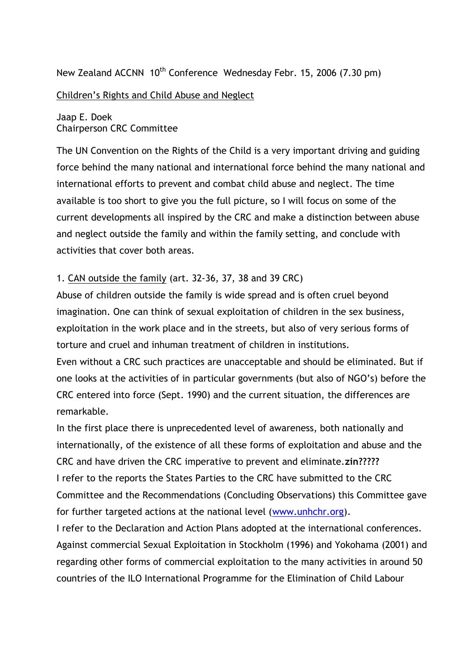New Zealand ACCNN 10<sup>th</sup> Conference Wednesday Febr. 15, 2006 (7.30 pm)

Children's Rights and Child Abuse and Neglect

Jaap E. Doek Chairperson CRC Committee

The UN Convention on the Rights of the Child is a very important driving and guiding force behind the many national and international force behind the many national and international efforts to prevent and combat child abuse and neglect. The time available is too short to give you the full picture, so I will focus on some of the current developments all inspired by the CRC and make a distinction between abuse and neglect outside the family and within the family setting, and conclude with activities that cover both areas.

## 1. CAN outside the family (art. 32-36, 37, 38 and 39 CRC)

Abuse of children outside the family is wide spread and is often cruel beyond imagination. One can think of sexual exploitation of children in the sex business, exploitation in the work place and in the streets, but also of very serious forms of torture and cruel and inhuman treatment of children in institutions.

Even without a CRC such practices are unacceptable and should be eliminated. But if one looks at the activities of in particular governments (but also of NGO's) before the CRC entered into force (Sept. 1990) and the current situation, the differences are remarkable.

In the first place there is unprecedented level of awareness, both nationally and internationally, of the existence of all these forms of exploitation and abuse and the CRC and have driven the CRC imperative to prevent and eliminate.**zin?????**  I refer to the reports the States Parties to the CRC have submitted to the CRC Committee and the Recommendations (Concluding Observations) this Committee gave for further targeted actions at the national level [\(www.unhchr.org\)](http://www.unhchr.org/).

I refer to the Declaration and Action Plans adopted at the international conferences. Against commercial Sexual Exploitation in Stockholm (1996) and Yokohama (2001) and regarding other forms of commercial exploitation to the many activities in around 50 countries of the ILO International Programme for the Elimination of Child Labour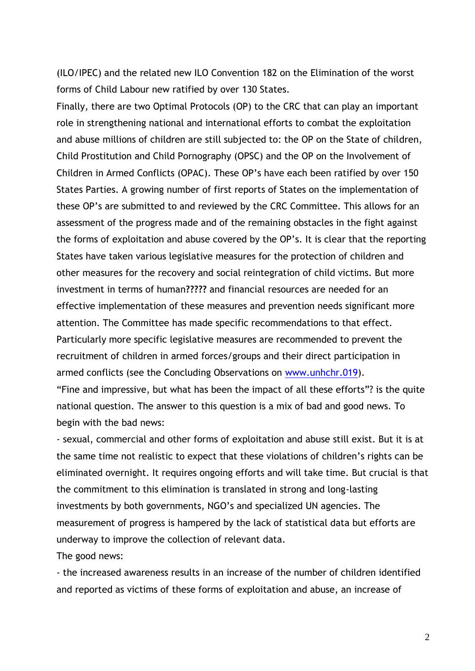(ILO/IPEC) and the related new ILO Convention 182 on the Elimination of the worst forms of Child Labour new ratified by over 130 States.

Finally, there are two Optimal Protocols (OP) to the CRC that can play an important role in strengthening national and international efforts to combat the exploitation and abuse millions of children are still subjected to: the OP on the State of children, Child Prostitution and Child Pornography (OPSC) and the OP on the Involvement of Children in Armed Conflicts (OPAC). These OP's have each been ratified by over 150 States Parties. A growing number of first reports of States on the implementation of these OP's are submitted to and reviewed by the CRC Committee. This allows for an assessment of the progress made and of the remaining obstacles in the fight against the forms of exploitation and abuse covered by the OP's. It is clear that the reporting States have taken various legislative measures for the protection of children and other measures for the recovery and social reintegration of child victims. But more investment in terms of human**?????** and financial resources are needed for an effective implementation of these measures and prevention needs significant more attention. The Committee has made specific recommendations to that effect. Particularly more specific legislative measures are recommended to prevent the recruitment of children in armed forces/groups and their direct participation in armed conflicts (see the Concluding Observations on [www.unhchr.019\)](http://www.unhchr.019/). "Fine and impressive, but what has been the impact of all these efforts"? is the quite national question. The answer to this question is a mix of bad and good news. To begin with the bad news:

- sexual, commercial and other forms of exploitation and abuse still exist. But it is at the same time not realistic to expect that these violations of children's rights can be eliminated overnight. It requires ongoing efforts and will take time. But crucial is that the commitment to this elimination is translated in strong and long-lasting investments by both governments, NGO's and specialized UN agencies. The measurement of progress is hampered by the lack of statistical data but efforts are underway to improve the collection of relevant data.

The good news:

- the increased awareness results in an increase of the number of children identified and reported as victims of these forms of exploitation and abuse, an increase of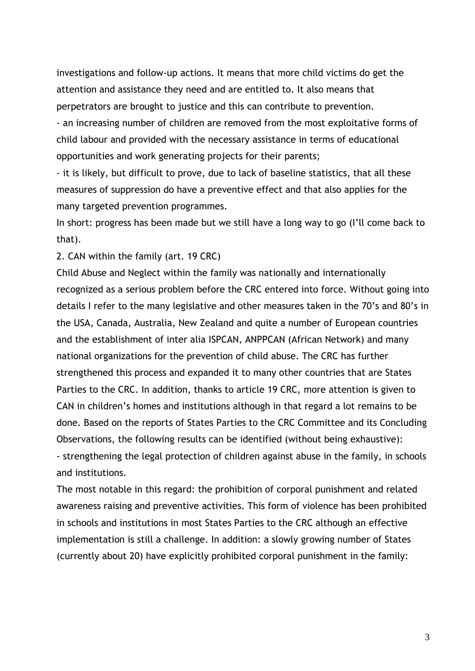investigations and follow-up actions. It means that more child victims do get the attention and assistance they need and are entitled to. It also means that perpetrators are brought to justice and this can contribute to prevention.

- an increasing number of children are removed from the most exploitative forms of child labour and provided with the necessary assistance in terms of educational opportunities and work generating projects for their parents;

- it is likely, but difficult to prove, due to lack of baseline statistics, that all these measures of suppression do have a preventive effect and that also applies for the many targeted prevention programmes.

In short: progress has been made but we still have a long way to go (I'll come back to that).

2. CAN within the family (art. 19 CRC)

Child Abuse and Neglect within the family was nationally and internationally recognized as a serious problem before the CRC entered into force. Without going into details I refer to the many legislative and other measures taken in the 70's and 80's in the USA, Canada, Australia, New Zealand and quite a number of European countries and the establishment of inter alia ISPCAN, ANPPCAN (African Network) and many national organizations for the prevention of child abuse. The CRC has further strengthened this process and expanded it to many other countries that are States Parties to the CRC. In addition, thanks to article 19 CRC, more attention is given to CAN in children's homes and institutions although in that regard a lot remains to be done. Based on the reports of States Parties to the CRC Committee and its Concluding Observations, the following results can be identified (without being exhaustive): - strengthening the legal protection of children against abuse in the family, in schools and institutions.

The most notable in this regard: the prohibition of corporal punishment and related awareness raising and preventive activities. This form of violence has been prohibited in schools and institutions in most States Parties to the CRC although an effective implementation is still a challenge. In addition: a slowly growing number of States (currently about 20) have explicitly prohibited corporal punishment in the family: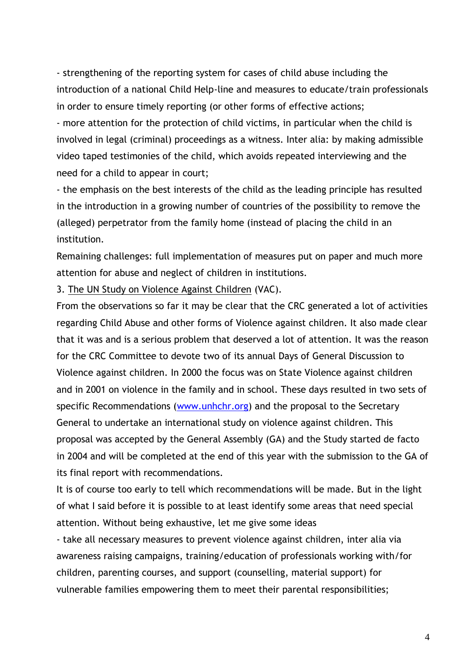- strengthening of the reporting system for cases of child abuse including the introduction of a national Child Help-line and measures to educate/train professionals in order to ensure timely reporting (or other forms of effective actions;

- more attention for the protection of child victims, in particular when the child is involved in legal (criminal) proceedings as a witness. Inter alia: by making admissible video taped testimonies of the child, which avoids repeated interviewing and the need for a child to appear in court;

- the emphasis on the best interests of the child as the leading principle has resulted in the introduction in a growing number of countries of the possibility to remove the (alleged) perpetrator from the family home (instead of placing the child in an institution.

Remaining challenges: full implementation of measures put on paper and much more attention for abuse and neglect of children in institutions.

3. The UN Study on Violence Against Children (VAC).

From the observations so far it may be clear that the CRC generated a lot of activities regarding Child Abuse and other forms of Violence against children. It also made clear that it was and is a serious problem that deserved a lot of attention. It was the reason for the CRC Committee to devote two of its annual Days of General Discussion to Violence against children. In 2000 the focus was on State Violence against children and in 2001 on violence in the family and in school. These days resulted in two sets of specific Recommendations [\(www.unhchr.org\)](http://www.unhchr.org/) and the proposal to the Secretary General to undertake an international study on violence against children. This proposal was accepted by the General Assembly (GA) and the Study started de facto in 2004 and will be completed at the end of this year with the submission to the GA of its final report with recommendations.

It is of course too early to tell which recommendations will be made. But in the light of what I said before it is possible to at least identify some areas that need special attention. Without being exhaustive, let me give some ideas

- take all necessary measures to prevent violence against children, inter alia via awareness raising campaigns, training/education of professionals working with/for children, parenting courses, and support (counselling, material support) for vulnerable families empowering them to meet their parental responsibilities;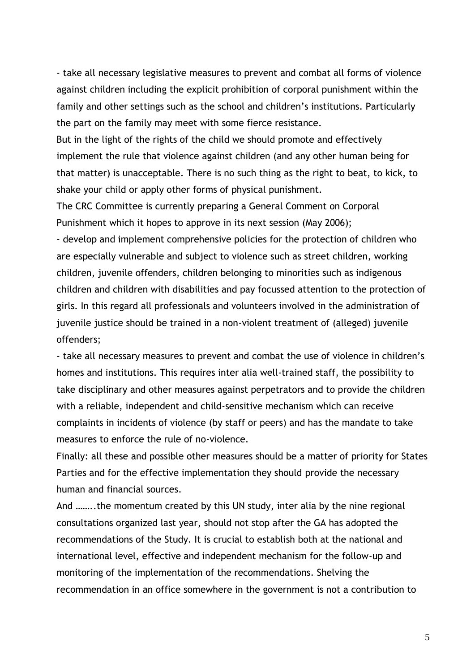- take all necessary legislative measures to prevent and combat all forms of violence against children including the explicit prohibition of corporal punishment within the family and other settings such as the school and children's institutions. Particularly the part on the family may meet with some fierce resistance.

But in the light of the rights of the child we should promote and effectively implement the rule that violence against children (and any other human being for that matter) is unacceptable. There is no such thing as the right to beat, to kick, to shake your child or apply other forms of physical punishment.

The CRC Committee is currently preparing a General Comment on Corporal Punishment which it hopes to approve in its next session (May 2006);

- develop and implement comprehensive policies for the protection of children who are especially vulnerable and subject to violence such as street children, working children, juvenile offenders, children belonging to minorities such as indigenous children and children with disabilities and pay focussed attention to the protection of girls. In this regard all professionals and volunteers involved in the administration of juvenile justice should be trained in a non-violent treatment of (alleged) juvenile offenders;

- take all necessary measures to prevent and combat the use of violence in children's homes and institutions. This requires inter alia well-trained staff, the possibility to take disciplinary and other measures against perpetrators and to provide the children with a reliable, independent and child-sensitive mechanism which can receive complaints in incidents of violence (by staff or peers) and has the mandate to take measures to enforce the rule of no-violence.

Finally: all these and possible other measures should be a matter of priority for States Parties and for the effective implementation they should provide the necessary human and financial sources.

And ……..the momentum created by this UN study, inter alia by the nine regional consultations organized last year, should not stop after the GA has adopted the recommendations of the Study. It is crucial to establish both at the national and international level, effective and independent mechanism for the follow-up and monitoring of the implementation of the recommendations. Shelving the recommendation in an office somewhere in the government is not a contribution to